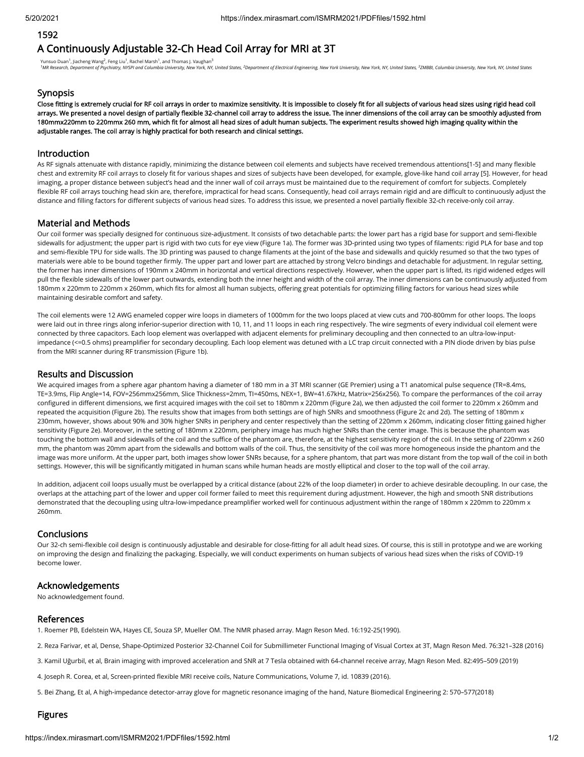### 1592

# A Continuously Adjustable 32-Ch Head Coil Array for MRI at 3T

Yunsuo Duan<sup>1</sup>, Jiacheng Wang<sup>2</sup>, Feng Liu<sup>1</sup>, Rachel Marsh<sup>1</sup>, and Thomas J. Vaughan<sup>3</sup>

<sup>1</sup>MR Research, Department of Psychiatry, NYSPI and Columbia University, New York, NY, United States, <sup>2</sup>Department of Electrical Engineering, New York University, New York, NY, United States, <sup>3</sup>ZMBBI, Columbia University

### **Synopsis**

Close fitting is extremely crucial for RF coil arrays in order to maximize sensitivity. It is impossible to closely fit for all subjects of various head sizes using rigid head coil arrays. We presented a novel design of partially flexible 32-channel coil array to address the issue. The inner dimensions of the coil array can be smoothly adjusted from 180mmx220mm to 220mmx 260 mm, which fit for almost all head sizes of adult human subjects. The experiment results showed high imaging quality within the adjustable ranges. The coil array is highly practical for both research and clinical settings.

### Introduction

As RF signals attenuate with distance rapidly, minimizing the distance between coil elements and subjects have received tremendous attentions[1-5] and many flexible chest and extremity RF coil arrays to closely fit for various shapes and sizes of subjects have been developed, for example, glove-like hand coil array [5]. However, for head imaging, a proper distance between subject's head and the inner wall of coil arrays must be maintained due to the requirement of comfort for subjects. Completely flexible RF coil arrays touching head skin are, therefore, impractical for head scans. Consequently, head coil arrays remain rigid and are difficult to continuously adjust the distance and filling factors for different subjects of various head sizes. To address this issue, we presented a novel partially flexible 32-ch receive-only coil array.

# Material and Methods

Our coil former was specially designed for continuous size-adjustment. It consists of two detachable parts: the lower part has a rigid base for support and semi-flexible sidewalls for adjustment; the upper part is rigid with two cuts for eye view (Figure 1a). The former was 3D-printed using two types of filaments: rigid PLA for base and top and semi-flexible TPU for side walls. The 3D printing was paused to change filaments at the joint of the base and sidewalls and quickly resumed so that the two types of materials were able to be bound together firmly. The upper part and lower part are attached by strong Velcro bindings and detachable for adjustment. In regular setting, the former has inner dimensions of 190mm x 240mm in horizontal and vertical directions respectively. However, when the upper part is lifted, its rigid widened edges will pull the flexible sidewalls of the lower part outwards, extending both the inner height and width of the coil array. The inner dimensions can be continuously adjusted from 180mm x 220mm to 220mm x 260mm, which fits for almost all human subjects, offering great potentials for optimizing filling factors for various head sizes while maintaining desirable comfort and safety.

The coil elements were 12 AWG enameled copper wire loops in diameters of 1000mm for the two loops placed at view cuts and 700-800mm for other loops. The loops were laid out in three rings along inferior-superior direction with 10, 11, and 11 loops in each ring respectively. The wire segments of every individual coil element were connected by three capacitors. Each loop element was overlapped with adjacent elements for preliminary decoupling and then connected to an ultra-low-inputimpedance (<=0.5 ohms) preamplifier for secondary decoupling. Each loop element was detuned with a LC trap circuit connected with a PIN diode driven by bias pulse from the MRI scanner during RF transmission (Figure 1b).

# Results and Discussion

We acquired images from a sphere agar phantom having a diameter of 180 mm in a 3T MRI scanner (GE Premier) using a T1 anatomical pulse sequence (TR=8.4ms, TE=3.9ms, Flip Angle=14, FOV=256mmx256mm, Slice Thickness=2mm, TI=450ms, NEX=1, BW=41.67kHz, Matrix=256x256). To compare the performances of the coil array configured in different dimensions, we first acquired images with the coil set to 180mm x 220mm (Figure 2a), we then adjusted the coil former to 220mm x 260mm and repeated the acquisition (Figure 2b). The results show that images from both settings are of high SNRs and smoothness (Figure 2c and 2d). The setting of 180mm x 230mm, however, shows about 90% and 30% higher SNRs in periphery and center respectively than the setting of 220mm x 260mm, indicating closer fitting gained higher sensitivity (Figure 2e). Moreover, in the setting of 180mm x 220mm, periphery image has much higher SNRs than the center image. This is because the phantom was touching the bottom wall and sidewalls of the coil and the suffice of the phantom are, therefore, at the highest sensitivity region of the coil. In the setting of 220mm x 260 mm, the phantom was 20mm apart from the sidewalls and bottom walls of the coil. Thus, the sensitivity of the coil was more homogeneous inside the phantom and the image was more uniform. At the upper part, both images show lower SNRs because, for a sphere phantom, that part was more distant from the top wall of the coil in both settings. However, this will be significantly mitigated in human scans while human heads are mostly elliptical and closer to the top wall of the coil array.

In addition, adjacent coil loops usually must be overlapped by a critical distance (about 22% of the loop diameter) in order to achieve desirable decoupling. In our case, the overlaps at the attaching part of the lower and upper coil former failed to meet this requirement during adjustment. However, the high and smooth SNR distributions demonstrated that the decoupling using ultra-low-impedance preamplifier worked well for continuous adjustment within the range of 180mm x 220mm to 220mm x 260mm.

### **Conclusions**

Our 32-ch semi-flexible coil design is continuously adjustable and desirable for close-fitting for all adult head sizes. Of course, this is still in prototype and we are working on improving the design and finalizing the packaging. Especially, we will conduct experiments on human subjects of various head sizes when the risks of COVID-19 become lower.

### Acknowledgements

No acknowledgement found.

### References

1. Roemer PB, Edelstein WA, Hayes CE, Souza SP, Mueller OM. The NMR phased array. Magn Reson Med. 16:192-25(1990).

2. Reza Farivar, et al, Dense, Shape-Optimized Posterior 32-Channel Coil for Submillimeter Functional Imaging of Visual Cortex at 3T, Magn Reson Med. 76:321–328 (2016)

3. Kamil Uğurbil, et al, Brain imaging with improved acceleration and SNR at 7 Tesla obtained with 64‐channel receive array, Magn Reson Med. 82:495–509 (2019)

4. Joseph R. Corea, et al, Screen-printed flexible MRI receive coils, Nature Communications, Volume 7, id. 10839 (2016).

5. Bei Zhang, Et al, A high-impedance detector-array glove for magnetic resonance imaging of the hand, Nature Biomedical Engineering 2: 570–577(2018)

## Figures